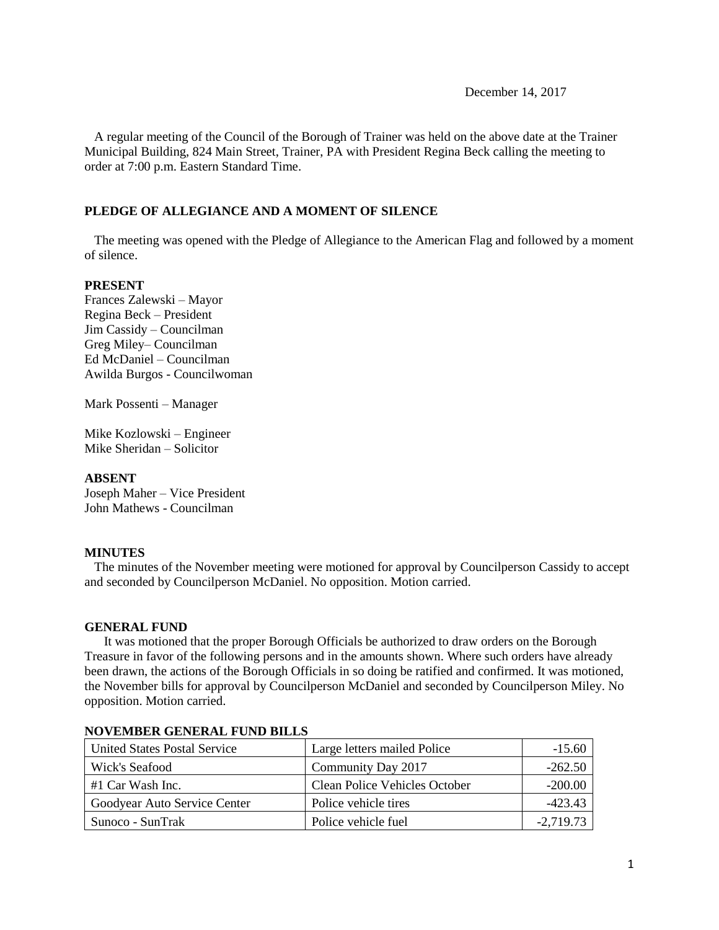December 14, 2017

 A regular meeting of the Council of the Borough of Trainer was held on the above date at the Trainer Municipal Building, 824 Main Street, Trainer, PA with President Regina Beck calling the meeting to order at 7:00 p.m. Eastern Standard Time.

## **PLEDGE OF ALLEGIANCE AND A MOMENT OF SILENCE**

 The meeting was opened with the Pledge of Allegiance to the American Flag and followed by a moment of silence.

## **PRESENT**

Frances Zalewski – Mayor Regina Beck – President Jim Cassidy – Councilman Greg Miley– Councilman Ed McDaniel – Councilman Awilda Burgos - Councilwoman

Mark Possenti – Manager

Mike Kozlowski – Engineer Mike Sheridan – Solicitor

## **ABSENT**

Joseph Maher – Vice President John Mathews - Councilman

## **MINUTES**

The minutes of the November meeting were motioned for approval by Councilperson Cassidy to accept and seconded by Councilperson McDaniel. No opposition. Motion carried.

## **GENERAL FUND**

 It was motioned that the proper Borough Officials be authorized to draw orders on the Borough Treasure in favor of the following persons and in the amounts shown. Where such orders have already been drawn, the actions of the Borough Officials in so doing be ratified and confirmed. It was motioned, the November bills for approval by Councilperson McDaniel and seconded by Councilperson Miley. No opposition. Motion carried.

| United States Postal Service | Large letters mailed Police   | $-15.60$    |
|------------------------------|-------------------------------|-------------|
| Wick's Seafood               | Community Day 2017            | $-262.50$   |
| #1 Car Wash Inc.             | Clean Police Vehicles October | $-200.00$   |
| Goodyear Auto Service Center | Police vehicle tires          | -423.43     |
| Sunoco - SunTrak             | Police vehicle fuel           | $-2,719.73$ |

## **NOVEMBER GENERAL FUND BILLS**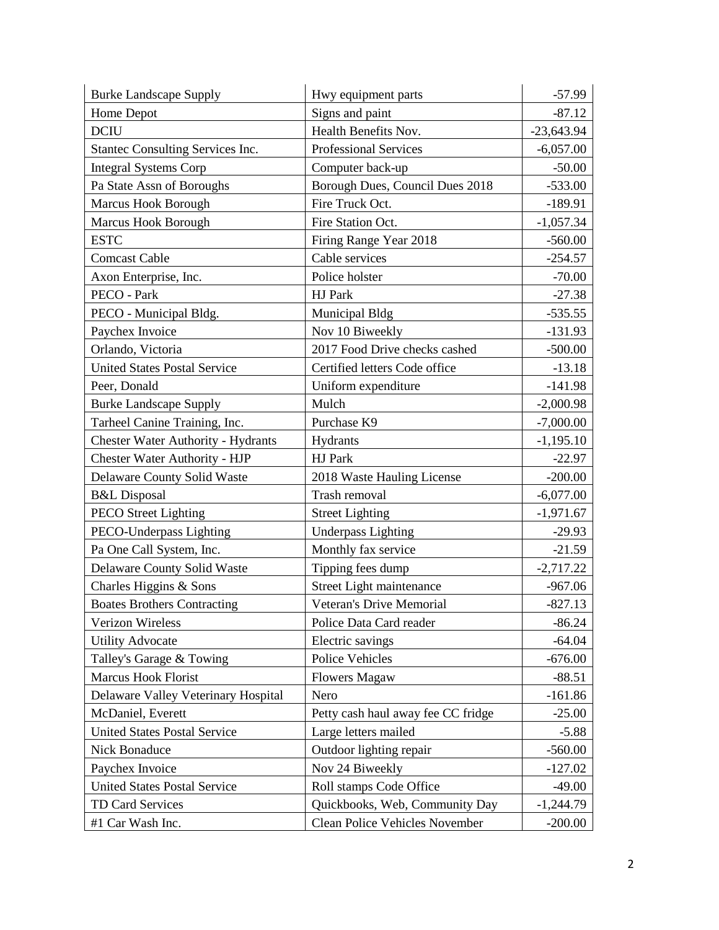| <b>Burke Landscape Supply</b>             | Hwy equipment parts                | $-57.99$     |
|-------------------------------------------|------------------------------------|--------------|
| Home Depot                                | Signs and paint                    | $-87.12$     |
| <b>DCIU</b>                               | Health Benefits Nov.               | $-23,643.94$ |
| <b>Stantec Consulting Services Inc.</b>   | <b>Professional Services</b>       | $-6,057.00$  |
| <b>Integral Systems Corp</b>              | Computer back-up                   | $-50.00$     |
| Pa State Assn of Boroughs                 | Borough Dues, Council Dues 2018    | $-533.00$    |
| Marcus Hook Borough                       | Fire Truck Oct.                    | $-189.91$    |
| Marcus Hook Borough                       | Fire Station Oct.                  | $-1,057.34$  |
| <b>ESTC</b>                               | Firing Range Year 2018             | $-560.00$    |
| <b>Comcast Cable</b>                      | Cable services                     | $-254.57$    |
| Axon Enterprise, Inc.                     | Police holster                     | $-70.00$     |
| PECO - Park                               | HJ Park                            | $-27.38$     |
| PECO - Municipal Bldg.                    | Municipal Bldg                     | $-535.55$    |
| Paychex Invoice                           | Nov 10 Biweekly                    | $-131.93$    |
| Orlando, Victoria                         | 2017 Food Drive checks cashed      | $-500.00$    |
| <b>United States Postal Service</b>       | Certified letters Code office      | $-13.18$     |
| Peer, Donald                              | Uniform expenditure                | $-141.98$    |
| <b>Burke Landscape Supply</b>             | Mulch                              | $-2,000.98$  |
| Tarheel Canine Training, Inc.             | Purchase K9                        | $-7,000.00$  |
| <b>Chester Water Authority - Hydrants</b> | Hydrants                           | $-1,195.10$  |
| Chester Water Authority - HJP             | HJ Park                            | $-22.97$     |
| Delaware County Solid Waste               | 2018 Waste Hauling License         | $-200.00$    |
| <b>B&amp;L</b> Disposal                   | Trash removal                      | $-6,077.00$  |
| <b>PECO</b> Street Lighting               | <b>Street Lighting</b>             | $-1,971.67$  |
| PECO-Underpass Lighting                   | <b>Underpass Lighting</b>          | $-29.93$     |
| Pa One Call System, Inc.                  | Monthly fax service                | $-21.59$     |
| Delaware County Solid Waste               | Tipping fees dump                  | $-2,717.22$  |
| Charles Higgins & Sons                    | Street Light maintenance           | $-967.06$    |
| <b>Boates Brothers Contracting</b>        | <b>Veteran's Drive Memorial</b>    | $-827.13$    |
| <b>Verizon Wireless</b>                   | Police Data Card reader            | $-86.24$     |
| <b>Utility Advocate</b>                   | Electric savings                   | $-64.04$     |
| Talley's Garage & Towing                  | <b>Police Vehicles</b>             | $-676.00$    |
| <b>Marcus Hook Florist</b>                | <b>Flowers Magaw</b>               | $-88.51$     |
| Delaware Valley Veterinary Hospital       | Nero                               | $-161.86$    |
| McDaniel, Everett                         | Petty cash haul away fee CC fridge | $-25.00$     |
| <b>United States Postal Service</b>       | Large letters mailed               | $-5.88$      |
| Nick Bonaduce                             | Outdoor lighting repair            | $-560.00$    |
| Paychex Invoice                           | Nov 24 Biweekly                    | $-127.02$    |
| <b>United States Postal Service</b>       | Roll stamps Code Office            | $-49.00$     |
| TD Card Services                          | Quickbooks, Web, Community Day     | $-1,244.79$  |
| #1 Car Wash Inc.                          | Clean Police Vehicles November     | $-200.00$    |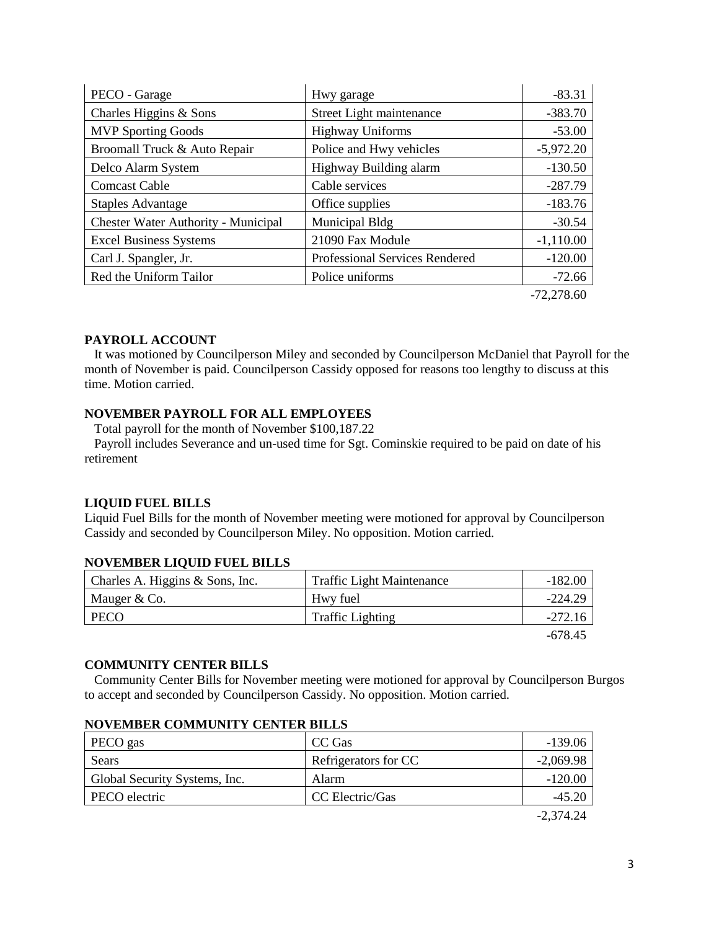| PECO - Garage                              | Hwy garage                            | $-83.31$     |
|--------------------------------------------|---------------------------------------|--------------|
| Charles Higgins & Sons                     | Street Light maintenance              | $-383.70$    |
| <b>MVP Sporting Goods</b>                  | <b>Highway Uniforms</b>               | $-53.00$     |
| Broomall Truck & Auto Repair               | Police and Hwy vehicles               | $-5,972.20$  |
| Delco Alarm System                         | Highway Building alarm                | $-130.50$    |
| <b>Comcast Cable</b>                       | Cable services                        | $-287.79$    |
| <b>Staples Advantage</b>                   | Office supplies                       | $-183.76$    |
| <b>Chester Water Authority - Municipal</b> | Municipal Bldg                        | $-30.54$     |
| <b>Excel Business Systems</b>              | 21090 Fax Module                      | $-1,110.00$  |
| Carl J. Spangler, Jr.                      | <b>Professional Services Rendered</b> | $-120.00$    |
| Red the Uniform Tailor                     | Police uniforms                       | $-72.66$     |
|                                            |                                       | $-72,278.60$ |

#### **PAYROLL ACCOUNT**

 It was motioned by Councilperson Miley and seconded by Councilperson McDaniel that Payroll for the month of November is paid. Councilperson Cassidy opposed for reasons too lengthy to discuss at this time. Motion carried.

## **NOVEMBER PAYROLL FOR ALL EMPLOYEES**

 Total payroll for the month of November \$100,187.22 Payroll includes Severance and un-used time for Sgt. Cominskie required to be paid on date of his retirement

#### **LIQUID FUEL BILLS**

Liquid Fuel Bills for the month of November meeting were motioned for approval by Councilperson Cassidy and seconded by Councilperson Miley. No opposition. Motion carried.

#### **NOVEMBER LIQUID FUEL BILLS**

| Charles A. Higgins & Sons, Inc. | <b>Traffic Light Maintenance</b> | $-182.00$ |
|---------------------------------|----------------------------------|-----------|
| Mauger & Co.                    | Hwy fuel                         | $-224.29$ |
| <b>PECO</b>                     | <b>Traffic Lighting</b>          | $-272.16$ |
|                                 |                                  | -678.45   |

#### **COMMUNITY CENTER BILLS**

 Community Center Bills for November meeting were motioned for approval by Councilperson Burgos to accept and seconded by Councilperson Cassidy. No opposition. Motion carried.

| PECO gas                      | CC Gas               | $-139.06$   |
|-------------------------------|----------------------|-------------|
| Sears                         | Refrigerators for CC | $-2,069.98$ |
| Global Security Systems, Inc. | Alarm                | $-120.00$   |
| PECO electric                 | CC Electric/Gas      | $-45.20$    |

#### **NOVEMBER COMMUNITY CENTER BILLS**

-2,374.24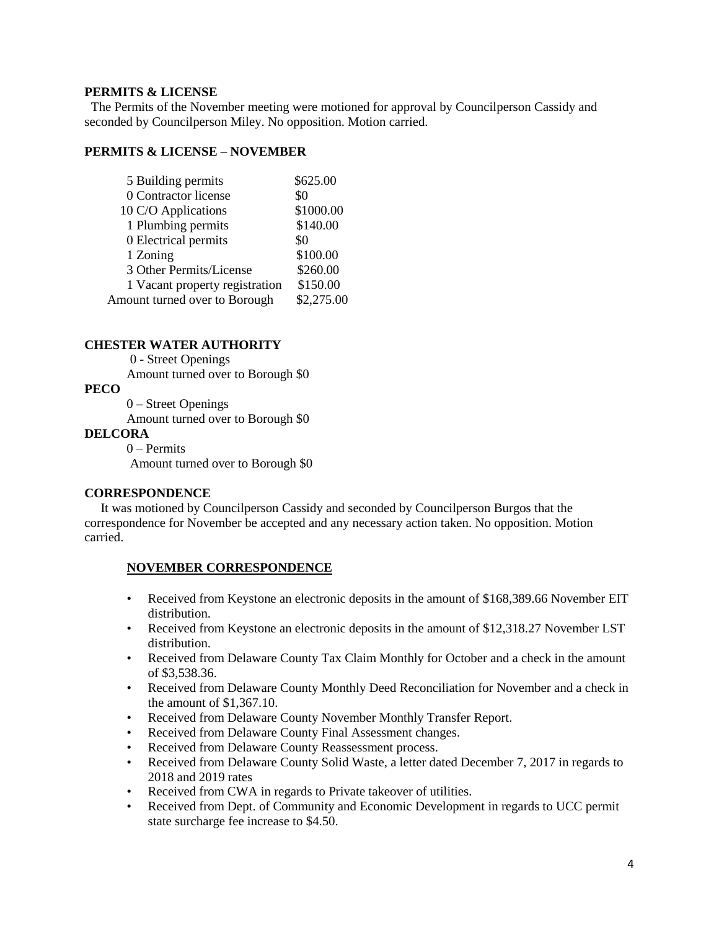## **PERMITS & LICENSE**

The Permits of the November meeting were motioned for approval by Councilperson Cassidy and seconded by Councilperson Miley. No opposition. Motion carried.

#### **PERMITS & LICENSE – NOVEMBER**

| 5 Building permits             | \$625.00   |
|--------------------------------|------------|
| 0 Contractor license           | \$0        |
| 10 C/O Applications            | \$1000.00  |
| 1 Plumbing permits             | \$140.00   |
| 0 Electrical permits           | \$0        |
| 1 Zoning                       | \$100.00   |
| 3 Other Permits/License        | \$260.00   |
| 1 Vacant property registration | \$150.00   |
| Amount turned over to Borough  | \$2,275.00 |
|                                |            |

## **CHESTER WATER AUTHORITY**

0 - Street Openings Amount turned over to Borough \$0

#### **PECO**

 0 – Street Openings Amount turned over to Borough \$0

#### **DELCORA**

0 – Permits Amount turned over to Borough \$0

#### **CORRESPONDENCE**

 It was motioned by Councilperson Cassidy and seconded by Councilperson Burgos that the correspondence for November be accepted and any necessary action taken. No opposition. Motion carried.

## **NOVEMBER CORRESPONDENCE**

- Received from Keystone an electronic deposits in the amount of \$168,389.66 November EIT distribution.
- Received from Keystone an electronic deposits in the amount of \$12,318.27 November LST distribution.
- Received from Delaware County Tax Claim Monthly for October and a check in the amount of \$3,538.36.
- Received from Delaware County Monthly Deed Reconciliation for November and a check in the amount of \$1,367.10.
- Received from Delaware County November Monthly Transfer Report.
- Received from Delaware County Final Assessment changes.
- Received from Delaware County Reassessment process.
- Received from Delaware County Solid Waste, a letter dated December 7, 2017 in regards to 2018 and 2019 rates
- Received from CWA in regards to Private takeover of utilities.
- Received from Dept. of Community and Economic Development in regards to UCC permit state surcharge fee increase to \$4.50.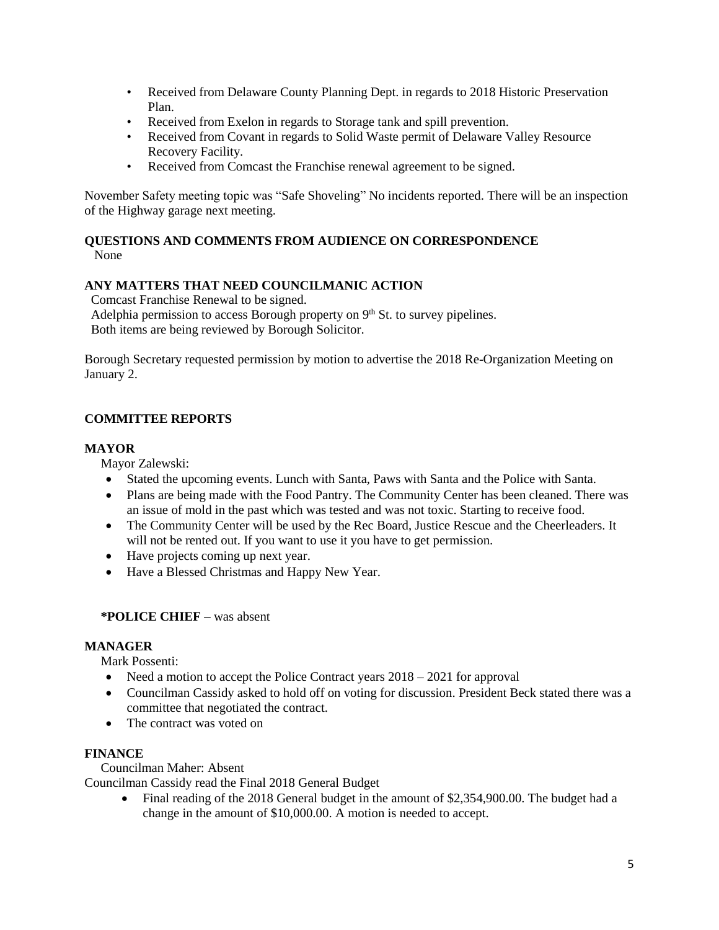- Received from Delaware County Planning Dept. in regards to 2018 Historic Preservation Plan.
- Received from Exelon in regards to Storage tank and spill prevention.
- Received from Covant in regards to Solid Waste permit of Delaware Valley Resource Recovery Facility.
- Received from Comcast the Franchise renewal agreement to be signed.

November Safety meeting topic was "Safe Shoveling" No incidents reported. There will be an inspection of the Highway garage next meeting.

# **QUESTIONS AND COMMENTS FROM AUDIENCE ON CORRESPONDENCE**

None

## **ANY MATTERS THAT NEED COUNCILMANIC ACTION**

Comcast Franchise Renewal to be signed.

Adelphia permission to access Borough property on  $9<sup>th</sup>$  St. to survey pipelines. Both items are being reviewed by Borough Solicitor.

Borough Secretary requested permission by motion to advertise the 2018 Re-Organization Meeting on January 2.

# **COMMITTEE REPORTS**

## **MAYOR**

Mayor Zalewski:

- Stated the upcoming events. Lunch with Santa, Paws with Santa and the Police with Santa.
- Plans are being made with the Food Pantry. The Community Center has been cleaned. There was an issue of mold in the past which was tested and was not toxic. Starting to receive food.
- The Community Center will be used by the Rec Board, Justice Rescue and the Cheerleaders. It will not be rented out. If you want to use it you have to get permission.
- Have projects coming up next year.
- Have a Blessed Christmas and Happy New Year.

## **\*POLICE CHIEF –** was absent

## **MANAGER**

Mark Possenti:

- Need a motion to accept the Police Contract years  $2018 2021$  for approval
- Councilman Cassidy asked to hold off on voting for discussion. President Beck stated there was a committee that negotiated the contract.
- The contract was voted on

## **FINANCE**

Councilman Maher: Absent

Councilman Cassidy read the Final 2018 General Budget

• Final reading of the 2018 General budget in the amount of \$2,354,900.00. The budget had a change in the amount of \$10,000.00. A motion is needed to accept.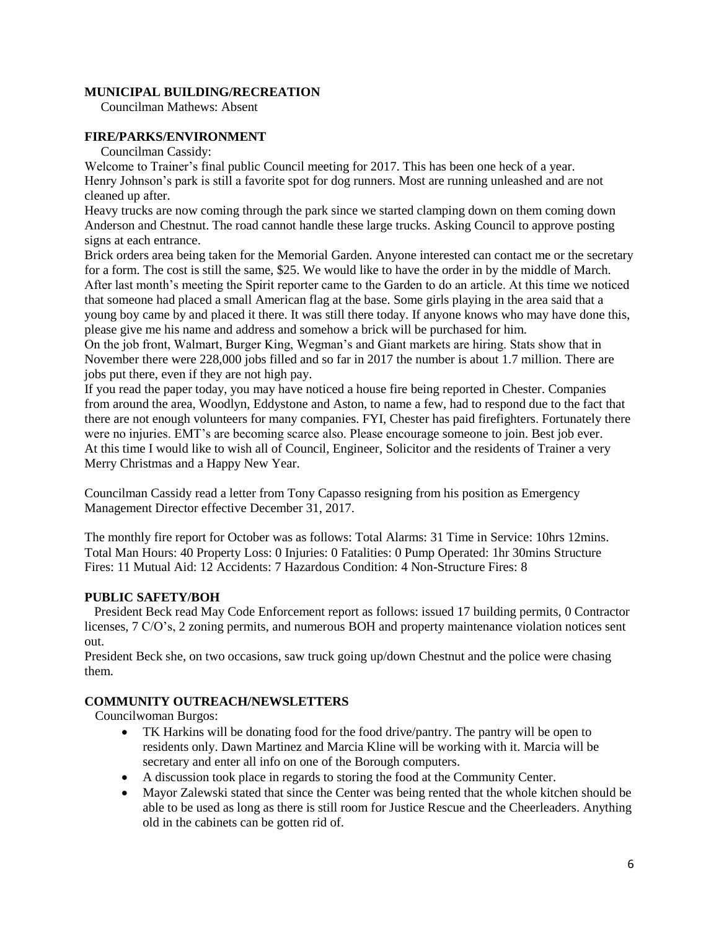## **MUNICIPAL BUILDING/RECREATION**

Councilman Mathews: Absent

## **FIRE/PARKS/ENVIRONMENT**

Councilman Cassidy:

Welcome to Trainer's final public Council meeting for 2017. This has been one heck of a year. Henry Johnson's park is still a favorite spot for dog runners. Most are running unleashed and are not cleaned up after.

Heavy trucks are now coming through the park since we started clamping down on them coming down Anderson and Chestnut. The road cannot handle these large trucks. Asking Council to approve posting signs at each entrance.

Brick orders area being taken for the Memorial Garden. Anyone interested can contact me or the secretary for a form. The cost is still the same, \$25. We would like to have the order in by the middle of March. After last month's meeting the Spirit reporter came to the Garden to do an article. At this time we noticed that someone had placed a small American flag at the base. Some girls playing in the area said that a young boy came by and placed it there. It was still there today. If anyone knows who may have done this, please give me his name and address and somehow a brick will be purchased for him.

On the job front, Walmart, Burger King, Wegman's and Giant markets are hiring. Stats show that in November there were 228,000 jobs filled and so far in 2017 the number is about 1.7 million. There are jobs put there, even if they are not high pay.

If you read the paper today, you may have noticed a house fire being reported in Chester. Companies from around the area, Woodlyn, Eddystone and Aston, to name a few, had to respond due to the fact that there are not enough volunteers for many companies. FYI, Chester has paid firefighters. Fortunately there were no injuries. EMT's are becoming scarce also. Please encourage someone to join. Best job ever. At this time I would like to wish all of Council, Engineer, Solicitor and the residents of Trainer a very Merry Christmas and a Happy New Year.

Councilman Cassidy read a letter from Tony Capasso resigning from his position as Emergency Management Director effective December 31, 2017.

The monthly fire report for October was as follows: Total Alarms: 31 Time in Service: 10hrs 12mins. Total Man Hours: 40 Property Loss: 0 Injuries: 0 Fatalities: 0 Pump Operated: 1hr 30mins Structure Fires: 11 Mutual Aid: 12 Accidents: 7 Hazardous Condition: 4 Non-Structure Fires: 8

## **PUBLIC SAFETY/BOH**

 President Beck read May Code Enforcement report as follows: issued 17 building permits, 0 Contractor licenses, 7 C/O's, 2 zoning permits, and numerous BOH and property maintenance violation notices sent out.

President Beck she, on two occasions, saw truck going up/down Chestnut and the police were chasing them.

## **COMMUNITY OUTREACH/NEWSLETTERS**

Councilwoman Burgos:

- TK Harkins will be donating food for the food drive/pantry. The pantry will be open to residents only. Dawn Martinez and Marcia Kline will be working with it. Marcia will be secretary and enter all info on one of the Borough computers.
- A discussion took place in regards to storing the food at the Community Center.
- Mayor Zalewski stated that since the Center was being rented that the whole kitchen should be able to be used as long as there is still room for Justice Rescue and the Cheerleaders. Anything old in the cabinets can be gotten rid of.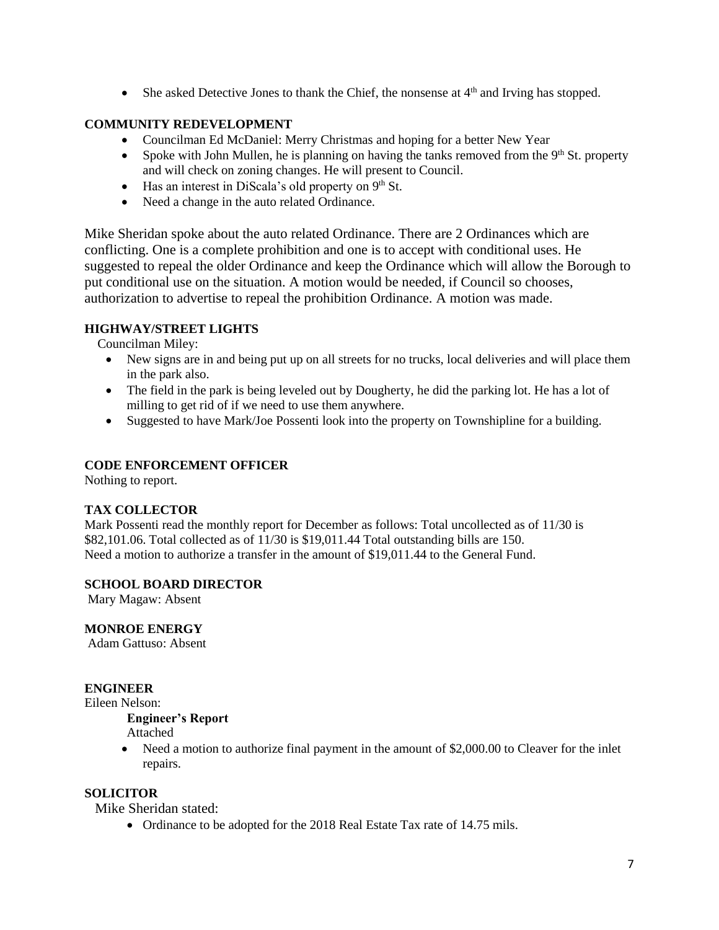$\bullet$  She asked Detective Jones to thank the Chief, the nonsense at  $4<sup>th</sup>$  and Irving has stopped.

## **COMMUNITY REDEVELOPMENT**

- Councilman Ed McDaniel: Merry Christmas and hoping for a better New Year
- Spoke with John Mullen, he is planning on having the tanks removed from the  $9<sup>th</sup>$  St. property and will check on zoning changes. He will present to Council.
- $\bullet$  Has an interest in DiScala's old property on 9<sup>th</sup> St.
- Need a change in the auto related Ordinance.

Mike Sheridan spoke about the auto related Ordinance. There are 2 Ordinances which are conflicting. One is a complete prohibition and one is to accept with conditional uses. He suggested to repeal the older Ordinance and keep the Ordinance which will allow the Borough to put conditional use on the situation. A motion would be needed, if Council so chooses, authorization to advertise to repeal the prohibition Ordinance. A motion was made.

## **HIGHWAY/STREET LIGHTS**

Councilman Miley:

- New signs are in and being put up on all streets for no trucks, local deliveries and will place them in the park also.
- The field in the park is being leveled out by Dougherty, he did the parking lot. He has a lot of milling to get rid of if we need to use them anywhere.
- Suggested to have Mark/Joe Possenti look into the property on Townshipline for a building.

## **CODE ENFORCEMENT OFFICER**

Nothing to report.

## **TAX COLLECTOR**

Mark Possenti read the monthly report for December as follows: Total uncollected as of 11/30 is \$82,101.06. Total collected as of 11/30 is \$19,011.44 Total outstanding bills are 150. Need a motion to authorize a transfer in the amount of \$19,011.44 to the General Fund.

## **SCHOOL BOARD DIRECTOR**

Mary Magaw: Absent

## **MONROE ENERGY**

Adam Gattuso: Absent

## **ENGINEER**

Eileen Nelson:

# **Engineer's Report**

Attached

• Need a motion to authorize final payment in the amount of \$2,000.00 to Cleaver for the inlet repairs.

## **SOLICITOR**

Mike Sheridan stated:

• Ordinance to be adopted for the 2018 Real Estate Tax rate of 14.75 mils.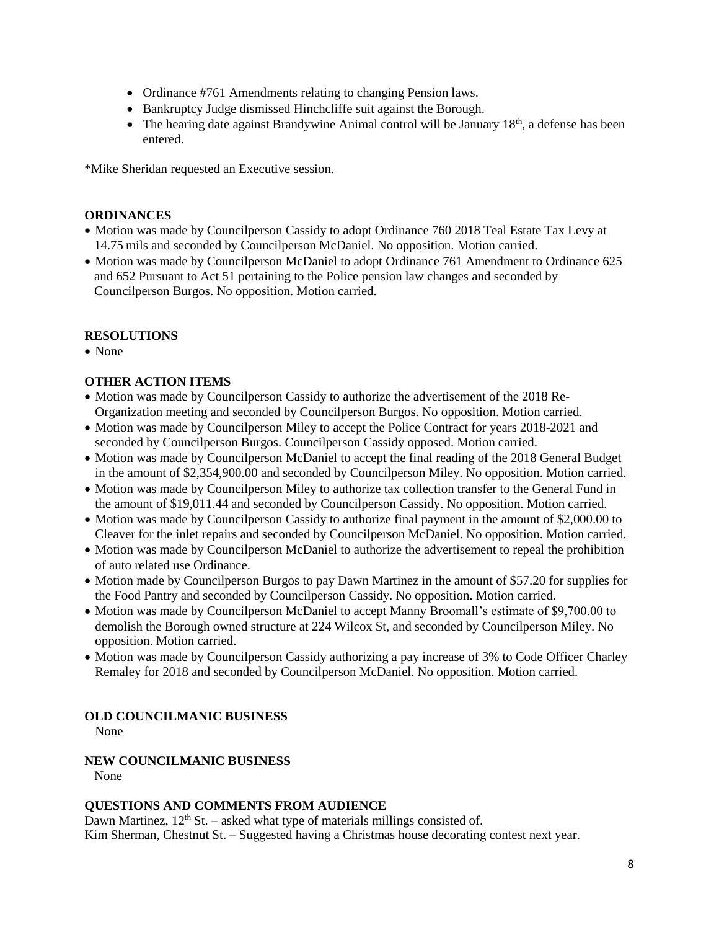- Ordinance #761 Amendments relating to changing Pension laws.
- Bankruptcy Judge dismissed Hinchcliffe suit against the Borough.
- $\bullet$  The hearing date against Brandywine Animal control will be January 18<sup>th</sup>, a defense has been entered.

\*Mike Sheridan requested an Executive session.

## **ORDINANCES**

- Motion was made by Councilperson Cassidy to adopt Ordinance 760 2018 Teal Estate Tax Levy at 14.75 mils and seconded by Councilperson McDaniel. No opposition. Motion carried.
- Motion was made by Councilperson McDaniel to adopt Ordinance 761 Amendment to Ordinance 625 and 652 Pursuant to Act 51 pertaining to the Police pension law changes and seconded by Councilperson Burgos. No opposition. Motion carried.

## **RESOLUTIONS**

• None

# **OTHER ACTION ITEMS**

- Motion was made by Councilperson Cassidy to authorize the advertisement of the 2018 Re-Organization meeting and seconded by Councilperson Burgos. No opposition. Motion carried.
- Motion was made by Councilperson Miley to accept the Police Contract for years 2018-2021 and seconded by Councilperson Burgos. Councilperson Cassidy opposed. Motion carried.
- Motion was made by Councilperson McDaniel to accept the final reading of the 2018 General Budget in the amount of \$2,354,900.00 and seconded by Councilperson Miley. No opposition. Motion carried.
- Motion was made by Councilperson Miley to authorize tax collection transfer to the General Fund in the amount of \$19,011.44 and seconded by Councilperson Cassidy. No opposition. Motion carried.
- Motion was made by Councilperson Cassidy to authorize final payment in the amount of \$2,000.00 to Cleaver for the inlet repairs and seconded by Councilperson McDaniel. No opposition. Motion carried.
- Motion was made by Councilperson McDaniel to authorize the advertisement to repeal the prohibition of auto related use Ordinance.
- Motion made by Councilperson Burgos to pay Dawn Martinez in the amount of \$57.20 for supplies for the Food Pantry and seconded by Councilperson Cassidy. No opposition. Motion carried.
- Motion was made by Councilperson McDaniel to accept Manny Broomall's estimate of \$9,700.00 to demolish the Borough owned structure at 224 Wilcox St, and seconded by Councilperson Miley. No opposition. Motion carried.
- Motion was made by Councilperson Cassidy authorizing a pay increase of 3% to Code Officer Charley Remaley for 2018 and seconded by Councilperson McDaniel. No opposition. Motion carried.

# **OLD COUNCILMANIC BUSINESS**

None

#### **NEW COUNCILMANIC BUSINESS**  None

## **QUESTIONS AND COMMENTS FROM AUDIENCE**

Dawn Martinez,  $12<sup>th</sup>$  St. – asked what type of materials millings consisted of. Kim Sherman, Chestnut St. – Suggested having a Christmas house decorating contest next year.